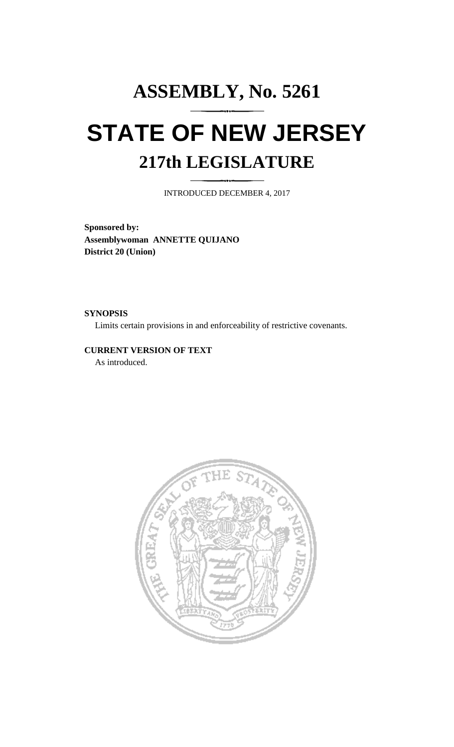## **ASSEMBLY, No. 5261 STATE OF NEW JERSEY 217th LEGISLATURE**

INTRODUCED DECEMBER 4, 2017

**Sponsored by: Assemblywoman ANNETTE QUIJANO District 20 (Union)**

**SYNOPSIS**

Limits certain provisions in and enforceability of restrictive covenants.

## **CURRENT VERSION OF TEXT**  As introduced.

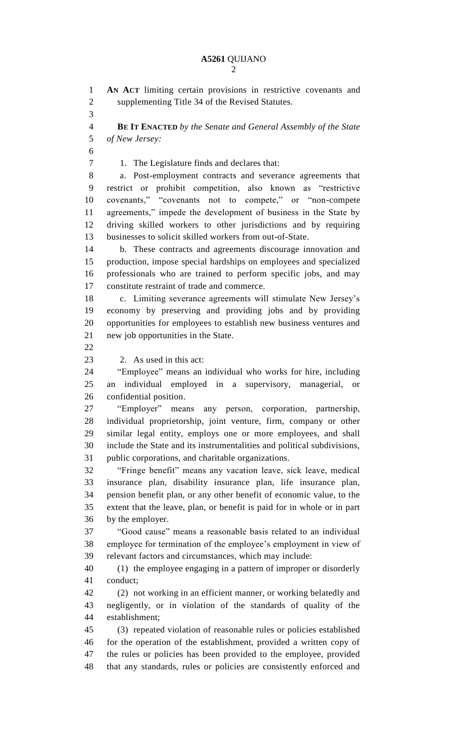**AN ACT** limiting certain provisions in restrictive covenants and supplementing Title 34 of the Revised Statutes. **BE IT ENACTED** *by the Senate and General Assembly of the State of New Jersey:* 1. The Legislature finds and declares that: a. Post-employment contracts and severance agreements that restrict or prohibit competition, also known as "restrictive covenants," "covenants not to compete," or "non-compete agreements," impede the development of business in the State by driving skilled workers to other jurisdictions and by requiring businesses to solicit skilled workers from out-of-State. b. These contracts and agreements discourage innovation and production, impose special hardships on employees and specialized professionals who are trained to perform specific jobs, and may constitute restraint of trade and commerce. c. Limiting severance agreements will stimulate New Jersey's economy by preserving and providing jobs and by providing opportunities for employees to establish new business ventures and new job opportunities in the State. 2. As used in this act: "Employee" means an individual who works for hire, including an individual employed in a supervisory, managerial, or confidential position. "Employer" means any person, corporation, partnership, individual proprietorship, joint venture, firm, company or other similar legal entity, employs one or more employees, and shall include the State and its instrumentalities and political subdivisions, public corporations, and charitable organizations. "Fringe benefit" means any vacation leave, sick leave, medical insurance plan, disability insurance plan, life insurance plan, pension benefit plan, or any other benefit of economic value, to the extent that the leave, plan, or benefit is paid for in whole or in part by the employer. "Good cause" means a reasonable basis related to an individual employee for termination of the employee's employment in view of relevant factors and circumstances, which may include: (1) the employee engaging in a pattern of improper or disorderly conduct; (2) not working in an efficient manner, or working belatedly and negligently, or in violation of the standards of quality of the establishment; (3) repeated violation of reasonable rules or policies established for the operation of the establishment, provided a written copy of the rules or policies has been provided to the employee, provided that any standards, rules or policies are consistently enforced and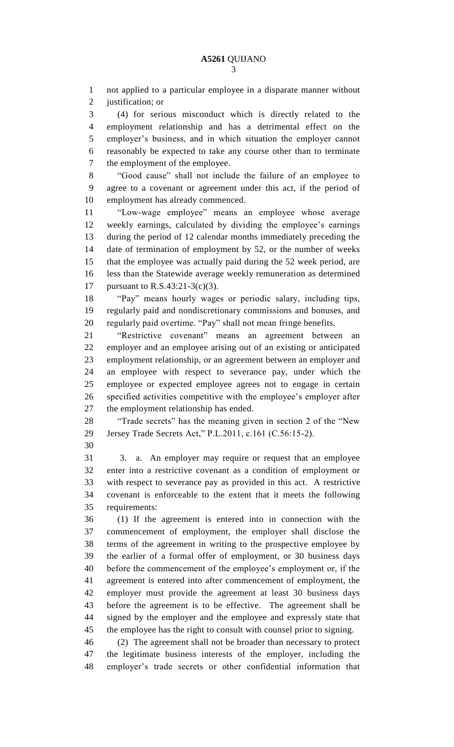not applied to a particular employee in a disparate manner without justification; or

 (4) for serious misconduct which is directly related to the employment relationship and has a detrimental effect on the employer's business, and in which situation the employer cannot reasonably be expected to take any course other than to terminate the employment of the employee.

 "Good cause" shall not include the failure of an employee to agree to a covenant or agreement under this act, if the period of employment has already commenced.

 "Low-wage employee" means an employee whose average weekly earnings, calculated by dividing the employee's earnings during the period of 12 calendar months immediately preceding the date of termination of employment by 52, or the number of weeks that the employee was actually paid during the 52 week period, are less than the Statewide average weekly remuneration as determined pursuant to R.S.43:21-3(c)(3).

 "Pay" means hourly wages or periodic salary, including tips, regularly paid and nondiscretionary commissions and bonuses, and regularly paid overtime. "Pay" shall not mean fringe benefits.

 "Restrictive covenant" means an agreement between an employer and an employee arising out of an existing or anticipated employment relationship, or an agreement between an employer and an employee with respect to severance pay, under which the employee or expected employee agrees not to engage in certain specified activities competitive with the employee's employer after the employment relationship has ended.

 "Trade secrets" has the meaning given in section 2 of the "New Jersey Trade Secrets Act," P.L.2011, c.161 (C.56:15-2).

 3. a. An employer may require or request that an employee enter into a restrictive covenant as a condition of employment or with respect to severance pay as provided in this act. A restrictive covenant is enforceable to the extent that it meets the following requirements:

 (1) If the agreement is entered into in connection with the commencement of employment, the employer shall disclose the terms of the agreement in writing to the prospective employee by the earlier of a formal offer of employment, or 30 business days before the commencement of the employee's employment or, if the agreement is entered into after commencement of employment, the employer must provide the agreement at least 30 business days before the agreement is to be effective. The agreement shall be signed by the employer and the employee and expressly state that the employee has the right to consult with counsel prior to signing.

 (2) The agreement shall not be broader than necessary to protect the legitimate business interests of the employer, including the employer's trade secrets or other confidential information that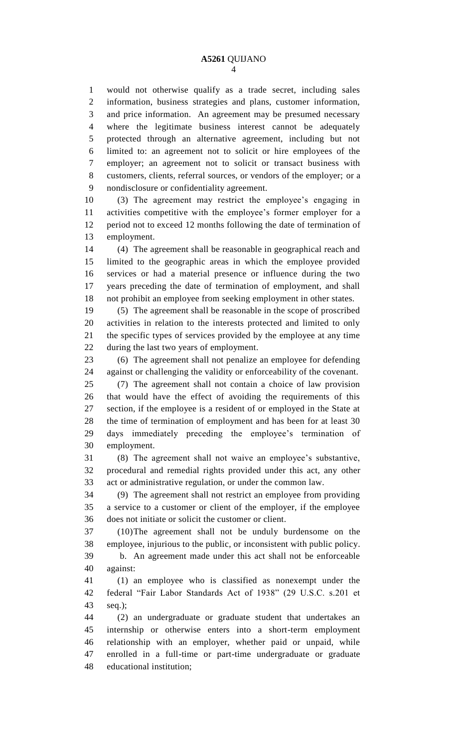would not otherwise qualify as a trade secret, including sales information, business strategies and plans, customer information, and price information. An agreement may be presumed necessary where the legitimate business interest cannot be adequately protected through an alternative agreement, including but not limited to: an agreement not to solicit or hire employees of the employer; an agreement not to solicit or transact business with customers, clients, referral sources, or vendors of the employer; or a nondisclosure or confidentiality agreement.

 (3) The agreement may restrict the employee's engaging in activities competitive with the employee's former employer for a period not to exceed 12 months following the date of termination of employment.

 (4) The agreement shall be reasonable in geographical reach and limited to the geographic areas in which the employee provided services or had a material presence or influence during the two years preceding the date of termination of employment, and shall not prohibit an employee from seeking employment in other states.

 (5) The agreement shall be reasonable in the scope of proscribed activities in relation to the interests protected and limited to only the specific types of services provided by the employee at any time during the last two years of employment.

 (6) The agreement shall not penalize an employee for defending against or challenging the validity or enforceability of the covenant. (7) The agreement shall not contain a choice of law provision that would have the effect of avoiding the requirements of this section, if the employee is a resident of or employed in the State at the time of termination of employment and has been for at least 30 days immediately preceding the employee's termination of employment.

 (8) The agreement shall not waive an employee's substantive, procedural and remedial rights provided under this act, any other act or administrative regulation, or under the common law.

 (9) The agreement shall not restrict an employee from providing a service to a customer or client of the employer, if the employee does not initiate or solicit the customer or client.

 (10)The agreement shall not be unduly burdensome on the employee, injurious to the public, or inconsistent with public policy. b. An agreement made under this act shall not be enforceable against:

 (1) an employee who is classified as nonexempt under the federal "Fair Labor Standards Act of 1938" (29 U.S.C. s.201 et seq.);

 (2) an undergraduate or graduate student that undertakes an internship or otherwise enters into a short-term employment relationship with an employer, whether paid or unpaid, while enrolled in a full-time or part-time undergraduate or graduate educational institution;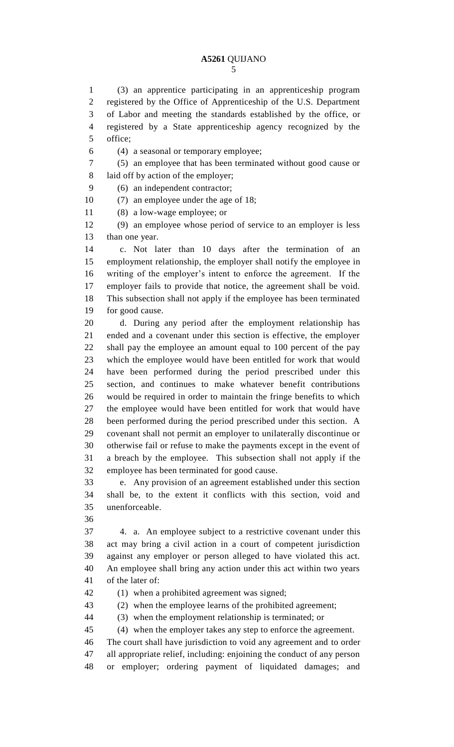## **A5261** QUIJANO

 (3) an apprentice participating in an apprenticeship program registered by the Office of Apprenticeship of the U.S. Department of Labor and meeting the standards established by the office, or registered by a State apprenticeship agency recognized by the office;

(4) a seasonal or temporary employee;

 (5) an employee that has been terminated without good cause or laid off by action of the employer;

(6) an independent contractor;

(7) an employee under the age of 18;

(8) a low-wage employee; or

 (9) an employee whose period of service to an employer is less than one year.

 c. Not later than 10 days after the termination of an employment relationship, the employer shall notify the employee in writing of the employer's intent to enforce the agreement. If the employer fails to provide that notice, the agreement shall be void. This subsection shall not apply if the employee has been terminated for good cause.

 d. During any period after the employment relationship has ended and a covenant under this section is effective, the employer shall pay the employee an amount equal to 100 percent of the pay which the employee would have been entitled for work that would have been performed during the period prescribed under this section, and continues to make whatever benefit contributions would be required in order to maintain the fringe benefits to which the employee would have been entitled for work that would have been performed during the period prescribed under this section. A covenant shall not permit an employer to unilaterally discontinue or otherwise fail or refuse to make the payments except in the event of a breach by the employee. This subsection shall not apply if the employee has been terminated for good cause.

 e. Any provision of an agreement established under this section shall be, to the extent it conflicts with this section, void and unenforceable.

 4. a. An employee subject to a restrictive covenant under this act may bring a civil action in a court of competent jurisdiction against any employer or person alleged to have violated this act. An employee shall bring any action under this act within two years of the later of:

(1) when a prohibited agreement was signed;

(2) when the employee learns of the prohibited agreement;

(3) when the employment relationship is terminated; or

(4) when the employer takes any step to enforce the agreement.

The court shall have jurisdiction to void any agreement and to order

all appropriate relief, including: enjoining the conduct of any person

or employer; ordering payment of liquidated damages; and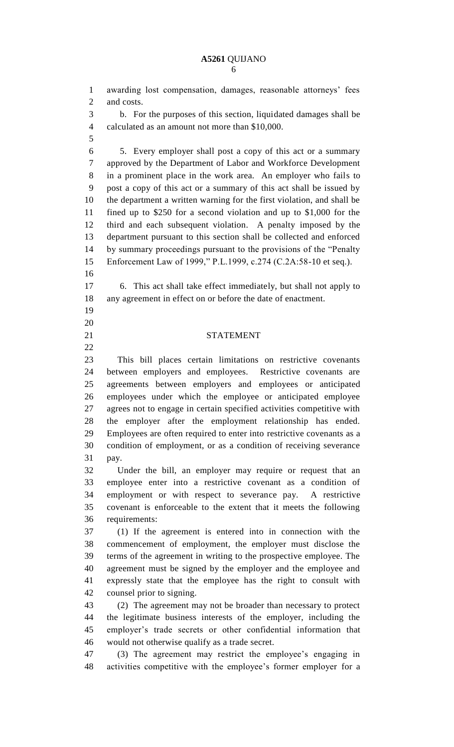## **A5261** QUIJANO

 awarding lost compensation, damages, reasonable attorneys' fees and costs. b. For the purposes of this section, liquidated damages shall be calculated as an amount not more than \$10,000. 5. Every employer shall post a copy of this act or a summary approved by the Department of Labor and Workforce Development in a prominent place in the work area. An employer who fails to post a copy of this act or a summary of this act shall be issued by the department a written warning for the first violation, and shall be fined up to \$250 for a second violation and up to \$1,000 for the third and each subsequent violation. A penalty imposed by the department pursuant to this section shall be collected and enforced by summary proceedings pursuant to the provisions of the "Penalty Enforcement Law of 1999," P.L.1999, c.274 (C.2A:58-10 et seq.). 6. This act shall take effect immediately, but shall not apply to any agreement in effect on or before the date of enactment. STATEMENT This bill places certain limitations on restrictive covenants between employers and employees. Restrictive covenants are agreements between employers and employees or anticipated employees under which the employee or anticipated employee agrees not to engage in certain specified activities competitive with the employer after the employment relationship has ended. Employees are often required to enter into restrictive covenants as a condition of employment, or as a condition of receiving severance pay. Under the bill, an employer may require or request that an employee enter into a restrictive covenant as a condition of employment or with respect to severance pay. A restrictive covenant is enforceable to the extent that it meets the following requirements: (1) If the agreement is entered into in connection with the commencement of employment, the employer must disclose the terms of the agreement in writing to the prospective employee. The agreement must be signed by the employer and the employee and expressly state that the employee has the right to consult with counsel prior to signing. (2) The agreement may not be broader than necessary to protect the legitimate business interests of the employer, including the employer's trade secrets or other confidential information that would not otherwise qualify as a trade secret. (3) The agreement may restrict the employee's engaging in activities competitive with the employee's former employer for a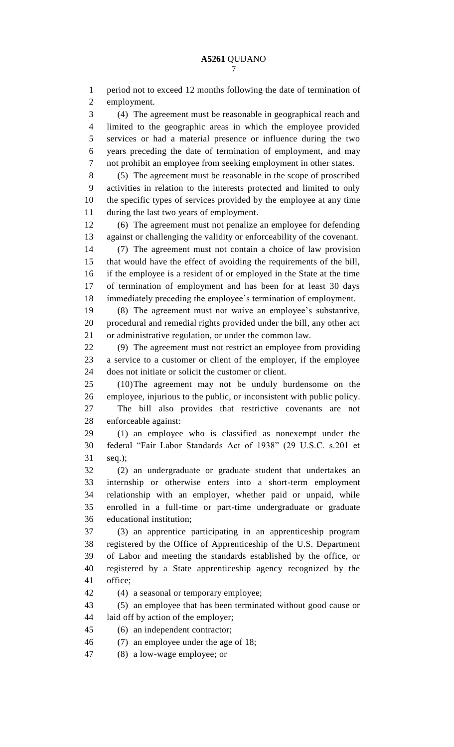period not to exceed 12 months following the date of termination of employment. (4) The agreement must be reasonable in geographical reach and limited to the geographic areas in which the employee provided services or had a material presence or influence during the two years preceding the date of termination of employment, and may not prohibit an employee from seeking employment in other states. (5) The agreement must be reasonable in the scope of proscribed activities in relation to the interests protected and limited to only the specific types of services provided by the employee at any time during the last two years of employment. (6) The agreement must not penalize an employee for defending against or challenging the validity or enforceability of the covenant. (7) The agreement must not contain a choice of law provision that would have the effect of avoiding the requirements of the bill, if the employee is a resident of or employed in the State at the time of termination of employment and has been for at least 30 days immediately preceding the employee's termination of employment. (8) The agreement must not waive an employee's substantive, procedural and remedial rights provided under the bill, any other act or administrative regulation, or under the common law. (9) The agreement must not restrict an employee from providing a service to a customer or client of the employer, if the employee does not initiate or solicit the customer or client. (10)The agreement may not be unduly burdensome on the employee, injurious to the public, or inconsistent with public policy. The bill also provides that restrictive covenants are not enforceable against: (1) an employee who is classified as nonexempt under the federal "Fair Labor Standards Act of 1938" (29 U.S.C. s.201 et seq.); (2) an undergraduate or graduate student that undertakes an internship or otherwise enters into a short-term employment relationship with an employer, whether paid or unpaid, while enrolled in a full-time or part-time undergraduate or graduate educational institution; (3) an apprentice participating in an apprenticeship program registered by the Office of Apprenticeship of the U.S. Department of Labor and meeting the standards established by the office, or registered by a State apprenticeship agency recognized by the office; (4) a seasonal or temporary employee; (5) an employee that has been terminated without good cause or laid off by action of the employer; (6) an independent contractor; (7) an employee under the age of 18; (8) a low-wage employee; or